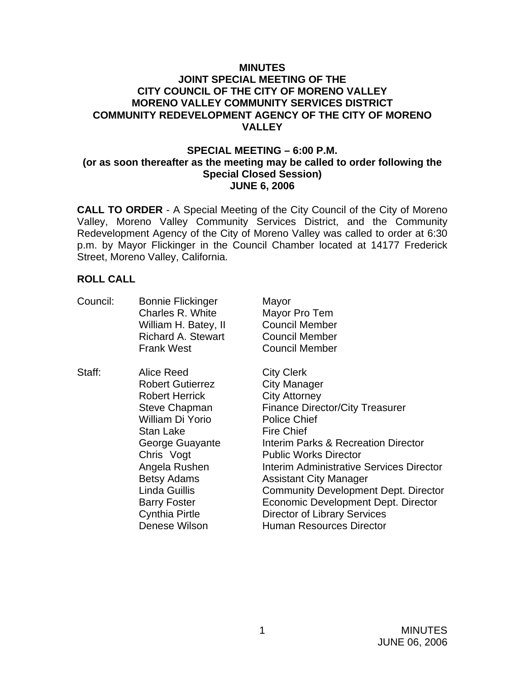#### **MINUTES JOINT SPECIAL MEETING OF THE CITY COUNCIL OF THE CITY OF MORENO VALLEY MORENO VALLEY COMMUNITY SERVICES DISTRICT COMMUNITY REDEVELOPMENT AGENCY OF THE CITY OF MORENO VALLEY**

#### **SPECIAL MEETING – 6:00 P.M. (or as soon thereafter as the meeting may be called to order following the Special Closed Session) JUNE 6, 2006**

**CALL TO ORDER** - A Special Meeting of the City Council of the City of Moreno Valley, Moreno Valley Community Services District, and the Community Redevelopment Agency of the City of Moreno Valley was called to order at 6:30 p.m. by Mayor Flickinger in the Council Chamber located at 14177 Frederick Street, Moreno Valley, California.

### **ROLL CALL**

| Council: | <b>Bonnie Flickinger</b><br>Charles R. White | Mayor                                          |
|----------|----------------------------------------------|------------------------------------------------|
|          | William H. Batey, II                         | Mayor Pro Tem<br><b>Council Member</b>         |
|          | <b>Richard A. Stewart</b>                    | <b>Council Member</b>                          |
|          |                                              |                                                |
|          | <b>Frank West</b>                            | <b>Council Member</b>                          |
| Staff:   | Alice Reed                                   | <b>City Clerk</b>                              |
|          | <b>Robert Gutierrez</b>                      | <b>City Manager</b>                            |
|          | <b>Robert Herrick</b>                        | <b>City Attorney</b>                           |
|          | <b>Steve Chapman</b>                         | <b>Finance Director/City Treasurer</b>         |
|          | William Di Yorio                             | <b>Police Chief</b>                            |
|          | <b>Stan Lake</b>                             | <b>Fire Chief</b>                              |
|          | George Guayante                              | <b>Interim Parks &amp; Recreation Director</b> |
|          | Chris Vogt                                   | <b>Public Works Director</b>                   |
|          | Angela Rushen                                | Interim Administrative Services Director       |
|          | <b>Betsy Adams</b>                           | <b>Assistant City Manager</b>                  |
|          | Linda Guillis                                | <b>Community Development Dept. Director</b>    |
|          | <b>Barry Foster</b>                          | Economic Development Dept. Director            |
|          | <b>Cynthia Pirtle</b>                        | <b>Director of Library Services</b>            |
|          | Denese Wilson                                | <b>Human Resources Director</b>                |
|          |                                              |                                                |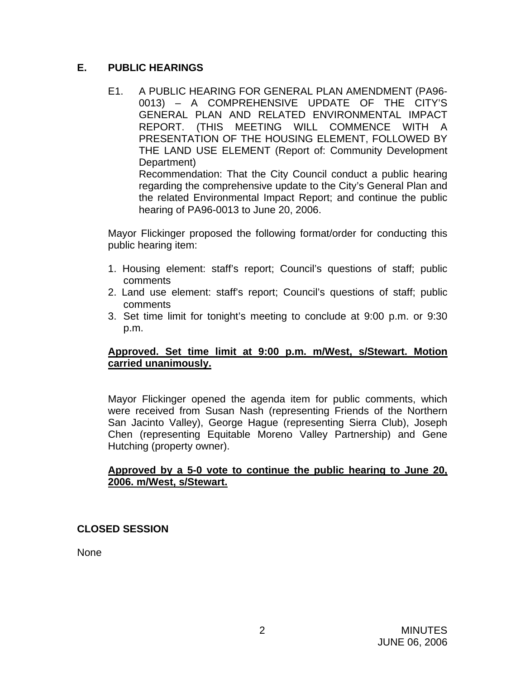# **E. PUBLIC HEARINGS**

E1. A PUBLIC HEARING FOR GENERAL PLAN AMENDMENT (PA96- 0013) – A COMPREHENSIVE UPDATE OF THE CITY'S GENERAL PLAN AND RELATED ENVIRONMENTAL IMPACT REPORT. (THIS MEETING WILL COMMENCE WITH A PRESENTATION OF THE HOUSING ELEMENT, FOLLOWED BY THE LAND USE ELEMENT (Report of: Community Development Department) Recommendation: That the City Council conduct a public hearing regarding the comprehensive update to the City's General Plan and the related Environmental Impact Report; and continue the public hearing of PA96-0013 to June 20, 2006.

Mayor Flickinger proposed the following format/order for conducting this public hearing item:

- 1. Housing element: staff's report; Council's questions of staff; public comments
- 2. Land use element: staff's report; Council's questions of staff; public comments
- 3. Set time limit for tonight's meeting to conclude at 9:00 p.m. or 9:30 p.m.

### **Approved. Set time limit at 9:00 p.m. m/West, s/Stewart. Motion carried unanimously.**

Mayor Flickinger opened the agenda item for public comments, which were received from Susan Nash (representing Friends of the Northern San Jacinto Valley), George Hague (representing Sierra Club), Joseph Chen (representing Equitable Moreno Valley Partnership) and Gene Hutching (property owner).

## **Approved by a 5-0 vote to continue the public hearing to June 20, 2006. m/West, s/Stewart.**

# **CLOSED SESSION**

None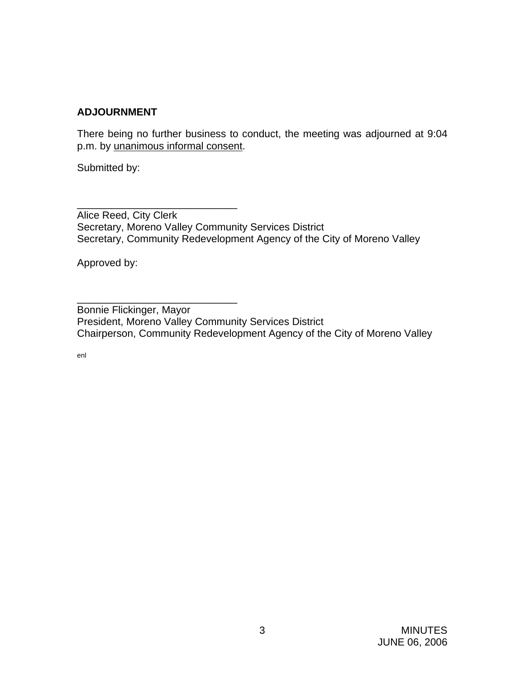## **ADJOURNMENT**

There being no further business to conduct, the meeting was adjourned at 9:04 p.m. by unanimous informal consent.

Submitted by:

\_\_\_\_\_\_\_\_\_\_\_\_\_\_\_\_\_\_\_\_\_\_\_\_\_\_\_\_ Alice Reed, City Clerk Secretary, Moreno Valley Community Services District Secretary, Community Redevelopment Agency of the City of Moreno Valley

Approved by:

\_\_\_\_\_\_\_\_\_\_\_\_\_\_\_\_\_\_\_\_\_\_\_\_\_\_\_\_

Bonnie Flickinger, Mayor President, Moreno Valley Community Services District Chairperson, Community Redevelopment Agency of the City of Moreno Valley

enl